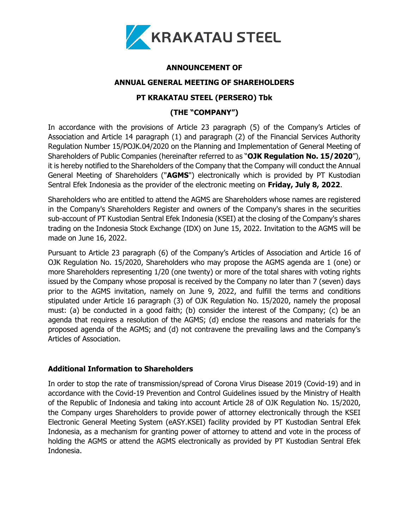

## **ANNOUNCEMENT OF**

### **ANNUAL GENERAL MEETING OF SHAREHOLDERS**

# **PT KRAKATAU STEEL (PERSERO) Tbk**

# **(THE "COMPANY")**

In accordance with the provisions of Article 23 paragraph (5) of the Company's Articles of Association and Article 14 paragraph (1) and paragraph (2) of the Financial Services Authority Regulation Number 15/POJK.04/2020 on the Planning and Implementation of General Meeting of Shareholders of Public Companies (hereinafter referred to as "**OJK Regulation No. 15/2020**"), it is hereby notified to the Shareholders of the Company that the Company will conduct the Annual General Meeting of Shareholders ("**AGMS**") electronically which is provided by PT Kustodian Sentral Efek Indonesia as the provider of the electronic meeting on **Friday, July 8, 2022**.

Shareholders who are entitled to attend the AGMS are Shareholders whose names are registered in the Company's Shareholders Register and owners of the Company's shares in the securities sub-account of PT Kustodian Sentral Efek Indonesia (KSEI) at the closing of the Company's shares trading on the Indonesia Stock Exchange (IDX) on June 15, 2022. Invitation to the AGMS will be made on June 16, 2022.

Pursuant to Article 23 paragraph (6) of the Company's Articles of Association and Article 16 of OJK Regulation No. 15/2020, Shareholders who may propose the AGMS agenda are 1 (one) or more Shareholders representing 1/20 (one twenty) or more of the total shares with voting rights issued by the Company whose proposal is received by the Company no later than 7 (seven) days prior to the AGMS invitation, namely on June 9, 2022, and fulfill the terms and conditions stipulated under Article 16 paragraph (3) of OJK Regulation No. 15/2020, namely the proposal must: (a) be conducted in a good faith; (b) consider the interest of the Company; (c) be an agenda that requires a resolution of the AGMS; (d) enclose the reasons and materials for the proposed agenda of the AGMS; and (d) not contravene the prevailing laws and the Company's Articles of Association.

#### **Additional Information to Shareholders**

In order to stop the rate of transmission/spread of Corona Virus Disease 2019 (Covid-19) and in accordance with the Covid-19 Prevention and Control Guidelines issued by the Ministry of Health of the Republic of Indonesia and taking into account Article 28 of OJK Regulation No. 15/2020, the Company urges Shareholders to provide power of attorney electronically through the KSEI Electronic General Meeting System (eASY.KSEI) facility provided by PT Kustodian Sentral Efek Indonesia, as a mechanism for granting power of attorney to attend and vote in the process of holding the AGMS or attend the AGMS electronically as provided by PT Kustodian Sentral Efek Indonesia.